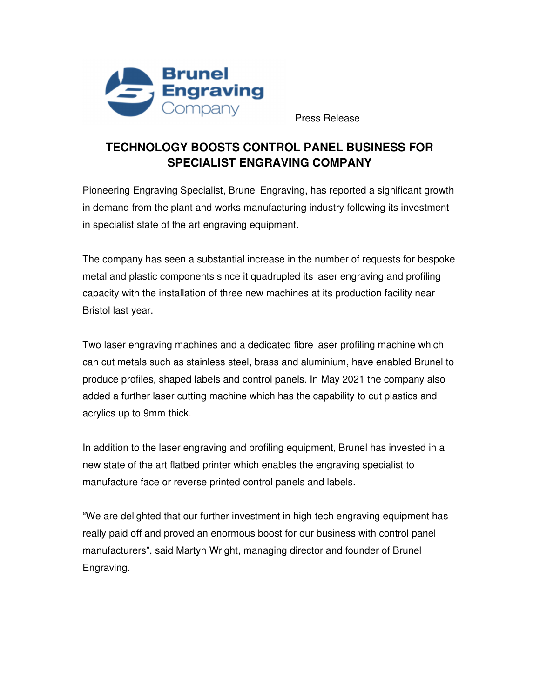

Press Release

## **TECHNOLOGY BOOSTS CONTROL PANEL BUSINESS FOR SPECIALIST ENGRAVING COMPANY**

Pioneering Engraving Specialist, Brunel Engraving, has reported a significant growth in demand from the plant and works manufacturing industry following its investment in specialist state of the art engraving equipment.

The company has seen a substantial increase in the number of requests for bespoke metal and plastic components since it quadrupled its laser engraving and profiling capacity with the installation of three new machines at its production facility near Bristol last year.

Two laser engraving machines and a dedicated fibre laser profiling machine which can cut metals such as stainless steel, brass and aluminium, have enabled Brunel to produce profiles, shaped labels and control panels. In May 2021 the company also added a further laser cutting machine which has the capability to cut plastics and acrylics up to 9mm thick.

In addition to the laser engraving and profiling equipment, Brunel has invested in a new state of the art flatbed printer which enables the engraving specialist to manufacture face or reverse printed control panels and labels.

"We are delighted that our further investment in high tech engraving equipment has really paid off and proved an enormous boost for our business with control panel manufacturers", said Martyn Wright, managing director and founder of Brunel Engraving.